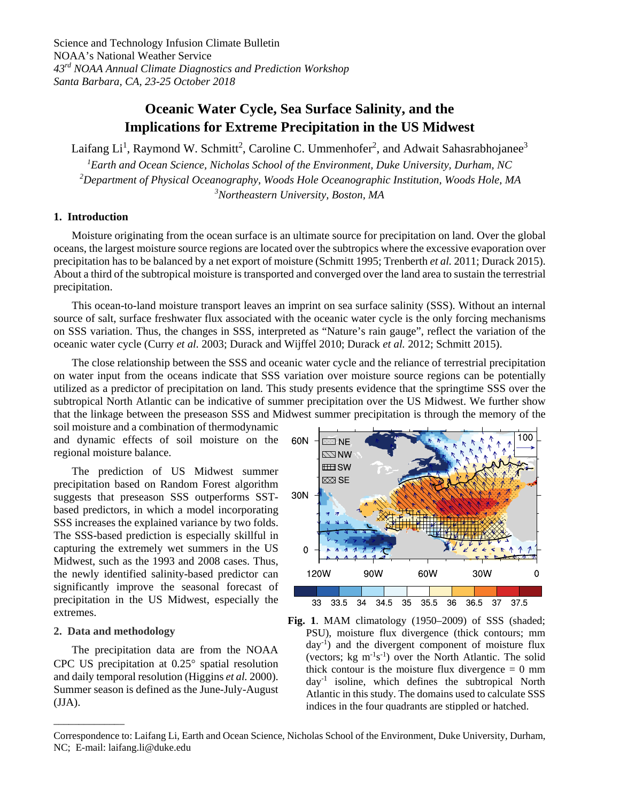Science and Technology Infusion Climate Bulletin NOAA's National Weather Service *43rd NOAA Annual Climate Diagnostics and Prediction Workshop Santa Barbara, CA, 23-25 October 2018*

# **Oceanic Water Cycle, Sea Surface Salinity, and the Implications for Extreme Precipitation in the US Midwest**

Laifang Li<sup>1</sup>, Raymond W. Schmitt<sup>2</sup>, Caroline C. Ummenhofer<sup>2</sup>, and Adwait Sahasrabhojanee<sup>3</sup> *1 Earth and Ocean Science, Nicholas School of the Environment, Duke University, Durham, NC 2Department of Physical Oceanography, Woods Hole Oceanographic Institution, Woods Hole, MA 3 Northeastern University, Boston, MA*

# **1. Introduction**

Moisture originating from the ocean surface is an ultimate source for precipitation on land. Over the global oceans, the largest moisture source regions are located over the subtropics where the excessive evaporation over precipitation has to be balanced by a net export of moisture (Schmitt 1995; Trenberth *et al.* 2011; Durack 2015). About a third of the subtropical moisture is transported and converged over the land area to sustain the terrestrial precipitation.

This ocean-to-land moisture transport leaves an imprint on sea surface salinity (SSS). Without an internal source of salt, surface freshwater flux associated with the oceanic water cycle is the only forcing mechanisms on SSS variation. Thus, the changes in SSS, interpreted as "Nature's rain gauge", reflect the variation of the oceanic water cycle (Curry *et al.* 2003; Durack and Wijffel 2010; Durack *et al.* 2012; Schmitt 2015).

The close relationship between the SSS and oceanic water cycle and the reliance of terrestrial precipitation on water input from the oceans indicate that SSS variation over moisture source regions can be potentially utilized as a predictor of precipitation on land. This study presents evidence that the springtime SSS over the subtropical North Atlantic can be indicative of summer precipitation over the US Midwest. We further show that the linkage between the preseason SSS and Midwest summer precipitation is through the memory of the

soil moisture and a combination of thermodynamic and dynamic effects of soil moisture on the regional moisture balance.

The prediction of US Midwest summer precipitation based on Random Forest algorithm suggests that preseason SSS outperforms SSTbased predictors, in which a model incorporating SSS increases the explained variance by two folds. The SSS-based prediction is especially skillful in capturing the extremely wet summers in the US Midwest, such as the 1993 and 2008 cases. Thus, the newly identified salinity-based predictor can significantly improve the seasonal forecast of precipitation in the US Midwest, especially the extremes.

## **2. Data and methodology**

\_\_\_\_\_\_\_\_\_\_\_\_\_\_

The precipitation data are from the NOAA CPC US precipitation at 0.25° spatial resolution and daily temporal resolution (Higgins *et al.* 2000). Summer season is defined as the June-July-August (JJA).



**Fig. 1**. MAM climatology (1950–2009) of SSS (shaded; PSU), moisture flux divergence (thick contours; mm  $day^{-1}$ ) and the divergent component of moisture flux (vectors;  $kg \text{ m}^{-1} \text{s}^{-1}$ ) over the North Atlantic. The solid thick contour is the moisture flux divergence  $= 0$  mm day-1 isoline, which defines the subtropical North Atlantic in this study. The domains used to calculate SSS indices in the four quadrants are stippled or hatched.

Correspondence to: Laifang Li, Earth and Ocean Science, Nicholas School of the Environment, Duke University, Durham, NC; E-mail: laifang.li@duke.edu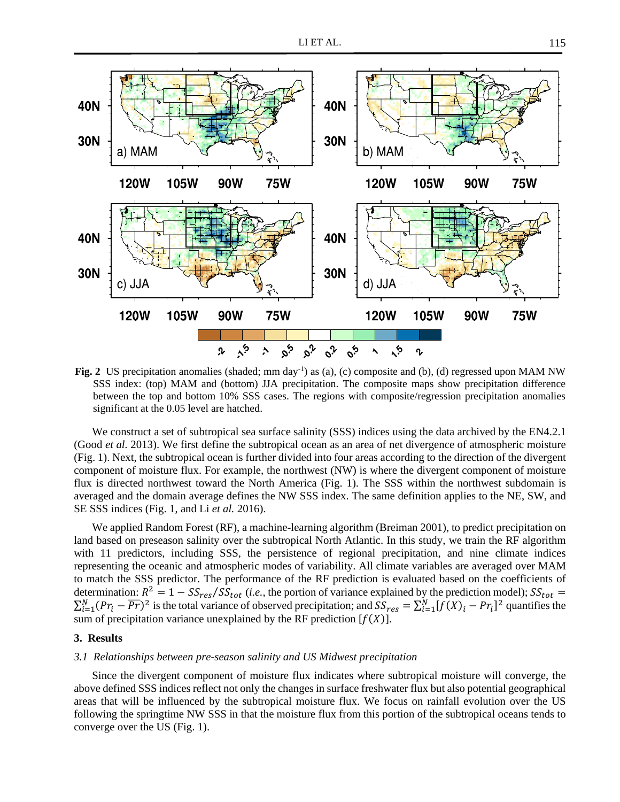

Fig. 2 US precipitation anomalies (shaded; mm day<sup>-1</sup>) as (a), (c) composite and (b), (d) regressed upon MAM NW SSS index: (top) MAM and (bottom) JJA precipitation. The composite maps show precipitation difference between the top and bottom 10% SSS cases. The regions with composite/regression precipitation anomalies significant at the 0.05 level are hatched.

We construct a set of subtropical sea surface salinity (SSS) indices using the data archived by the EN4.2.1 (Good *et al.* 2013). We first define the subtropical ocean as an area of net divergence of atmospheric moisture (Fig. 1). Next, the subtropical ocean is further divided into four areas according to the direction of the divergent component of moisture flux. For example, the northwest (NW) is where the divergent component of moisture flux is directed northwest toward the North America (Fig. 1). The SSS within the northwest subdomain is averaged and the domain average defines the NW SSS index. The same definition applies to the NE, SW, and SE SSS indices (Fig. 1, and Li *et al.* 2016).

We applied Random Forest (RF), a machine-learning algorithm (Breiman 2001), to predict precipitation on land based on preseason salinity over the subtropical North Atlantic. In this study, we train the RF algorithm with 11 predictors, including SSS, the persistence of regional precipitation, and nine climate indices representing the oceanic and atmospheric modes of variability. All climate variables are averaged over MAM to match the SSS predictor. The performance of the RF prediction is evaluated based on the coefficients of determination:  $R^2 = 1 - SS_{res}/SS_{tot}$  (*i.e.*, the portion of variance explained by the prediction model);  $SS_{tot} =$  $\sum_{i=1}^{N} (Pr_i - \overline{Pr})^2$  is the total variance of observed precipitation; and  $SS_{res} = \sum_{i=1}^{N} [f(X)_i - Pr_i]^2$  quantifies the sum of precipitation variance unexplained by the RF prediction  $[f(X)]$ .

#### **3. Results**

# *3.1 Relationships between pre-season salinity and US Midwest precipitation*

Since the divergent component of moisture flux indicates where subtropical moisture will converge, the above defined SSS indices reflect not only the changes in surface freshwater flux but also potential geographical areas that will be influenced by the subtropical moisture flux. We focus on rainfall evolution over the US following the springtime NW SSS in that the moisture flux from this portion of the subtropical oceans tends to converge over the US (Fig. 1).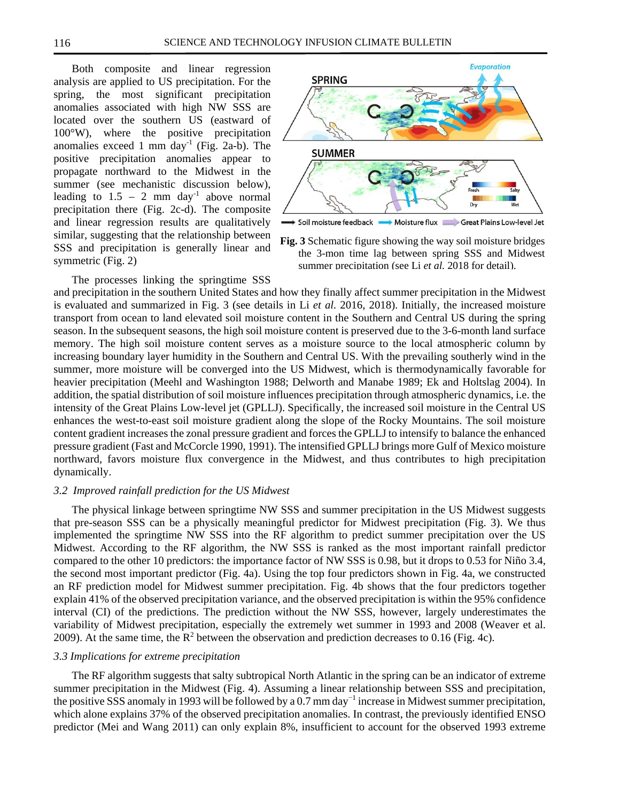Both composite and linear regression analysis are applied to US precipitation. For the spring, the most significant precipitation anomalies associated with high NW SSS are located over the southern US (eastward of 100°W), where the positive precipitation anomalies exceed 1 mm day<sup>-1</sup> (Fig. 2a-b). The positive precipitation anomalies appear to propagate northward to the Midwest in the summer (see mechanistic discussion below), leading to  $1.5 - 2$  mm day<sup>-1</sup> above normal precipitation there (Fig. 2c-d). The composite and linear regression results are qualitatively similar, suggesting that the relationship between SSS and precipitation is generally linear and symmetric (Fig. 2)



**Fig. 3** Schematic figure showing the way soil moisture bridges the 3-mon time lag between spring SSS and Midwest summer precipitation (see Li *et al.* 2018 for detail).

The processes linking the springtime SSS

and precipitation in the southern United States and how they finally affect summer precipitation in the Midwest is evaluated and summarized in Fig. 3 (see details in Li *et al.* 2016, 2018). Initially, the increased moisture transport from ocean to land elevated soil moisture content in the Southern and Central US during the spring season. In the subsequent seasons, the high soil moisture content is preserved due to the 3-6-month land surface memory. The high soil moisture content serves as a moisture source to the local atmospheric column by increasing boundary layer humidity in the Southern and Central US. With the prevailing southerly wind in the summer, more moisture will be converged into the US Midwest, which is thermodynamically favorable for heavier precipitation (Meehl and Washington 1988; Delworth and Manabe 1989; Ek and Holtslag 2004). In addition, the spatial distribution of soil moisture influences precipitation through atmospheric dynamics, i.e. the intensity of the Great Plains Low-level jet (GPLLJ). Specifically, the increased soil moisture in the Central US enhances the west-to-east soil moisture gradient along the slope of the Rocky Mountains. The soil moisture content gradient increases the zonal pressure gradient and forces the GPLLJ to intensify to balance the enhanced pressure gradient (Fast and McCorcle 1990, 1991). The intensified GPLLJ brings more Gulf of Mexico moisture northward, favors moisture flux convergence in the Midwest, and thus contributes to high precipitation dynamically.

## *3.2 Improved rainfall prediction for the US Midwest*

The physical linkage between springtime NW SSS and summer precipitation in the US Midwest suggests that pre-season SSS can be a physically meaningful predictor for Midwest precipitation (Fig. 3). We thus implemented the springtime NW SSS into the RF algorithm to predict summer precipitation over the US Midwest. According to the RF algorithm, the NW SSS is ranked as the most important rainfall predictor compared to the other 10 predictors: the importance factor of NW SSS is 0.98, but it drops to 0.53 for Niño 3.4, the second most important predictor (Fig. 4a). Using the top four predictors shown in Fig. 4a, we constructed an RF prediction model for Midwest summer precipitation. Fig. 4b shows that the four predictors together explain 41% of the observed precipitation variance, and the observed precipitation is within the 95% confidence interval (CI) of the predictions. The prediction without the NW SSS, however, largely underestimates the variability of Midwest precipitation, especially the extremely wet summer in 1993 and 2008 (Weaver et al. 2009). At the same time, the  $R^2$  between the observation and prediction decreases to 0.16 (Fig. 4c).

## *3.3 Implications for extreme precipitation*

The RF algorithm suggests that salty subtropical North Atlantic in the spring can be an indicator of extreme summer precipitation in the Midwest (Fig. 4). Assuming a linear relationship between SSS and precipitation, the positive SSS anomaly in 1993 will be followed by a 0.7 mm day<sup>-1</sup> increase in Midwest summer precipitation, which alone explains 37% of the observed precipitation anomalies. In contrast, the previously identified ENSO predictor (Mei and Wang 2011) can only explain 8%, insufficient to account for the observed 1993 extreme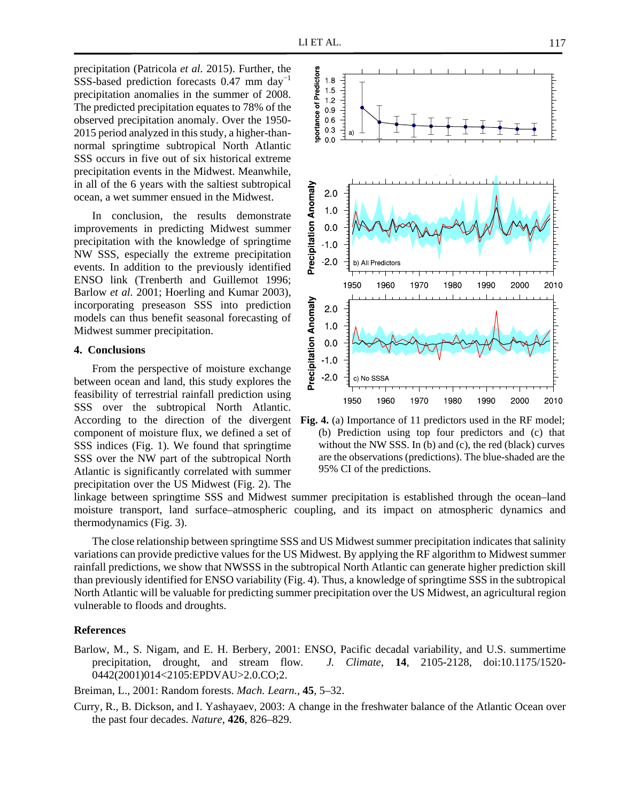precipitation (Patricola *et al.* 2015). Further, the SSS-based prediction forecasts  $0.47$  mm day<sup>-1</sup> precipitation anomalies in the summer of 2008. The predicted precipitation equates to 78% of the observed precipitation anomaly. Over the 1950- 2015 period analyzed in this study, a higher-thannormal springtime subtropical North Atlantic SSS occurs in five out of six historical extreme precipitation events in the Midwest. Meanwhile, in all of the 6 years with the saltiest subtropical ocean, a wet summer ensued in the Midwest.

In conclusion, the results demonstrate improvements in predicting Midwest summer precipitation with the knowledge of springtime NW SSS, especially the extreme precipitation events. In addition to the previously identified ENSO link (Trenberth and Guillemot 1996; Barlow *et al.* 2001; Hoerling and Kumar 2003), incorporating preseason SSS into prediction models can thus benefit seasonal forecasting of Midwest summer precipitation.

# **4. Conclusions**

From the perspective of moisture exchange between ocean and land, this study explores the feasibility of terrestrial rainfall prediction using SSS over the subtropical North Atlantic. component of moisture flux, we defined a set of SSS indices (Fig. 1). We found that springtime SSS over the NW part of the subtropical North Atlantic is significantly correlated with summer precipitation over the US Midwest (Fig. 2). The



According to the direction of the divergent **Fig. 4.** (a) Importance of 11 predictors used in the RF model; (b) Prediction using top four predictors and (c) that without the NW SSS. In (b) and (c), the red (black) curves are the observations (predictions). The blue-shaded are the 95% CI of the predictions.

linkage between springtime SSS and Midwest summer precipitation is established through the ocean–land moisture transport, land surface–atmospheric coupling, and its impact on atmospheric dynamics and thermodynamics (Fig. 3).

The close relationship between springtime SSS and US Midwest summer precipitation indicates that salinity variations can provide predictive values for the US Midwest. By applying the RF algorithm to Midwest summer rainfall predictions, we show that NWSSS in the subtropical North Atlantic can generate higher prediction skill than previously identified for ENSO variability (Fig. 4). Thus, a knowledge of springtime SSS in the subtropical North Atlantic will be valuable for predicting summer precipitation over the US Midwest, an agricultural region vulnerable to floods and droughts.

#### **References**

Barlow, M., S. Nigam, and E. H. Berbery, 2001: ENSO, Pacific decadal variability, and U.S. summertime precipitation, drought, and stream flow*. J. Climate*, **14**, 2105-2128, doi:10.1175/1520- 0442(2001)014<2105:EPDVAU>2.0.CO;2.

Breiman, L., 2001: Random forests. *Mach. Learn.*, **45**, 5–32.

Curry, R., B. Dickson, and I. Yashayaev, 2003: A change in the freshwater balance of the Atlantic Ocean over the past four decades. *Nature*, **426**, 826–829.